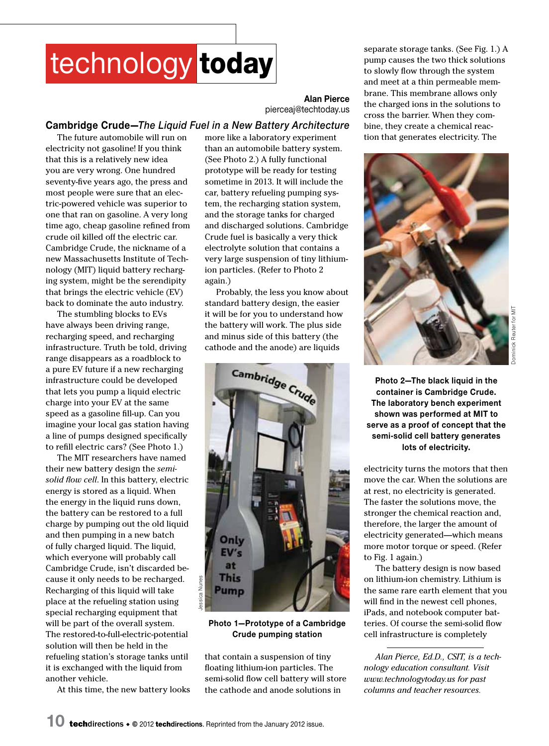## technology today

**Alan Pierce** pierceaj@techtoday.us

## **Cambridge Crude—***The Liquid Fuel in a New Battery Architecture*

The future automobile will run on electricity not gasoline! If you think that this is a relatively new idea you are very wrong. One hundred seventy-five years ago, the press and most people were sure that an electric-powered vehicle was superior to one that ran on gasoline. A very long time ago, cheap gasoline refined from crude oil killed off the electric car. Cambridge Crude, the nickname of a new Massachusetts Institute of Technology (MIT) liquid battery recharging system, might be the serendipity that brings the electric vehicle (EV) back to dominate the auto industry.

The stumbling blocks to EVs have always been driving range, recharging speed, and recharging infrastructure. Truth be told, driving range disappears as a roadblock to a pure EV future if a new recharging infrastructure could be developed that lets you pump a liquid electric charge into your EV at the same speed as a gasoline fill-up. Can you imagine your local gas station having a line of pumps designed specifically to refill electric cars? (See Photo 1.)

The MIT researchers have named their new battery design the *semisolid flow cell*. In this battery, electric energy is stored as a liquid. When the energy in the liquid runs down, the battery can be restored to a full charge by pumping out the old liquid and then pumping in a new batch of fully charged liquid. The liquid, which everyone will probably call Cambridge Crude, isn't discarded because it only needs to be recharged. Recharging of this liquid will take place at the refueling station using special recharging equipment that will be part of the overall system. The restored-to-full-electric-potential solution will then be held in the refueling station's storage tanks until it is exchanged with the liquid from another vehicle.

At this time, the new battery looks

more like a laboratory experiment than an automobile battery system. (See Photo 2.) A fully functional prototype will be ready for testing sometime in 2013. It will include the car, battery refueling pumping system, the recharging station system, and the storage tanks for charged and discharged solutions. Cambridge Crude fuel is basically a very thick electrolyte solution that contains a very large suspension of tiny lithiumion particles. (Refer to Photo 2 again.)

Probably, the less you know about standard battery design, the easier it will be for you to understand how the battery will work. The plus side and minus side of this battery (the cathode and the anode) are liquids



## **Photo 1—Prototype of a Cambridge Crude pumping station**

that contain a suspension of tiny floating lithium-ion particles. The semi-solid flow cell battery will store the cathode and anode solutions in

separate storage tanks. (See Fig. 1.) A pump causes the two thick solutions to slowly flow through the system and meet at a thin permeable membrane. This membrane allows only the charged ions in the solutions to cross the barrier. When they combine, they create a chemical reaction that generates electricity. The



Reuter for MIT Dominick Reuter for MIT**ominick** 

**Photo 2—The black liquid in the container is Cambridge Crude. The laboratory bench experiment shown was performed at MIT to serve as a proof of concept that the semi-solid cell battery generates lots of electricity.**

electricity turns the motors that then move the car. When the solutions are at rest, no electricity is generated. The faster the solutions move, the stronger the chemical reaction and, therefore, the larger the amount of electricity generated—which means more motor torque or speed. (Refer to Fig. 1 again.)

The battery design is now based on lithium-ion chemistry. Lithium is the same rare earth element that you will find in the newest cell phones, iPads, and notebook computer batteries. Of course the semi-solid flow cell infrastructure is completely

*Alan Pierce, Ed.D., CSIT, is a technology education consultant. Visit www.technologytoday.us for past columns and teacher resources.*